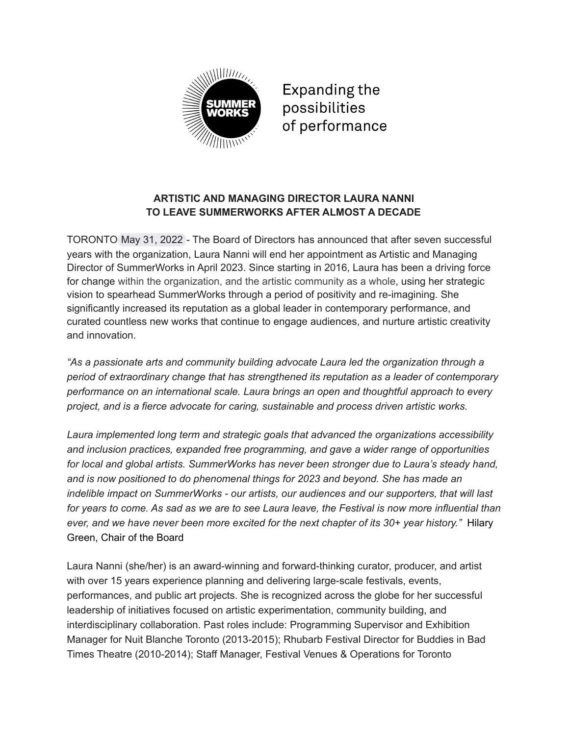

**Expanding the** possibilities of performance

# **ARTISTIC AND MANAGING DIRECTOR LAURA NANNI TO LEAVE SUMMERWORKS AFTER ALMOST A DECADE**

TORONTO May 31, 2022 - The Board of Directors has announced that after seven successful years with the organization, Laura Nanni will end her appointment as Artistic and Managing Director of SummerWorks in April 2023. Since starting in 2016, Laura has been a driving force for change within the organization, and the artistic community as a whole, using her strategic vision to spearhead SummerWorks through a period of positivity and re-imagining. She significantly increased its reputation as a global leader in contemporary performance, and curated countless new works that continue to engage audiences, and nurture artistic creativity and innovation.

*"As a passionate arts and community building advocate Laura led the organization through a period of extraordinary change that has strengthened its reputation as a leader of contemporary performance on an international scale. Laura brings an open and thoughtful approach to every project, and is a fierce advocate for caring, sustainable and process driven artistic works.*

*Laura implemented long term and strategic goals that advanced the organizations accessibility and inclusion practices, expanded free programming, and gave a wider range of opportunities for local and global artists. SummerWorks has never been stronger due to Laura's steady hand, and is now positioned to do phenomenal things for 2023 and beyond. She has made an indelible impact on SummerWorks - our artists, our audiences and our supporters, that will last* for years to come. As sad as we are to see Laura leave, the Festival is now more influential than *ever, and we have never been more excited for the next chapter of its 30+ year history."* Hilary Green, Chair of the Board

Laura Nanni (she/her) is an award-winning and forward-thinking curator, producer, and artist with over 15 years experience planning and delivering large-scale festivals, events, performances, and public art projects. She is recognized across the globe for her successful leadership of initiatives focused on artistic experimentation, community building, and interdisciplinary collaboration. Past roles include: Programming Supervisor and Exhibition Manager for Nuit Blanche Toronto (2013-2015); Rhubarb Festival Director for Buddies in Bad Times Theatre (2010-2014); Staff Manager, Festival Venues & Operations for Toronto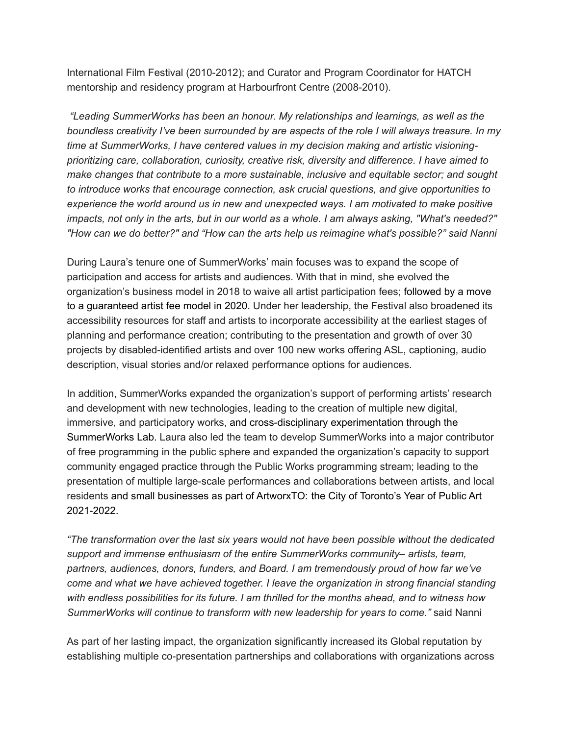International Film Festival (2010-2012); and Curator and Program Coordinator for HATCH mentorship and residency program at Harbourfront Centre (2008-2010).

*"Leading SummerWorks has been an honour. My relationships and learnings, as well as the boundless creativity I've been surrounded by are aspects of the role I will always treasure. In my time at SummerWorks, I have centered values in my decision making and artistic visioningprioritizing care, collaboration, curiosity, creative risk, diversity and difference. I have aimed to make changes that contribute to a more sustainable, inclusive and equitable sector; and sought to introduce works that encourage connection, ask crucial questions, and give opportunities to experience the world around us in new and unexpected ways. I am motivated to make positive* impacts, not only in the arts, but in our world as a whole. I am always asking, "What's needed?" *"How can we do better?" and "How can the arts help us reimagine what's possible?" said Nanni*

During Laura's tenure one of SummerWorks' main focuses was to expand the scope of participation and access for artists and audiences. With that in mind, she evolved the organization's business model in 2018 to waive all artist participation fees; followed by a move to a guaranteed artist fee model in 2020. Under her leadership, the Festival also broadened its accessibility resources for staff and artists to incorporate accessibility at the earliest stages of planning and performance creation; contributing to the presentation and growth of over 30 projects by disabled-identified artists and over 100 new works offering ASL, captioning, audio description, visual stories and/or relaxed performance options for audiences.

In addition, SummerWorks expanded the organization's support of performing artists' research and development with new technologies, leading to the creation of multiple new digital, immersive, and participatory works, and cross-disciplinary experimentation through the SummerWorks Lab. Laura also led the team to develop SummerWorks into a major contributor of free programming in the public sphere and expanded the organization's capacity to support community engaged practice through the Public Works programming stream; leading to the presentation of multiple large-scale performances and collaborations between artists, and local residents and small businesses as part of ArtworxTO: the City of Toronto's Year of Public Art 2021-2022.

*"The transformation over the last six years would not have been possible without the dedicated support and immense enthusiasm of the entire SummerWorks community– artists, team, partners, audiences, donors, funders, and Board. I am tremendously proud of how far we've come and what we have achieved together. I leave the organization in strong financial standing with endless possibilities for its future. I am thrilled for the months ahead, and to witness how SummerWorks will continue to transform with new leadership for years to come."* said Nanni

As part of her lasting impact, the organization significantly increased its Global reputation by establishing multiple co-presentation partnerships and collaborations with organizations across